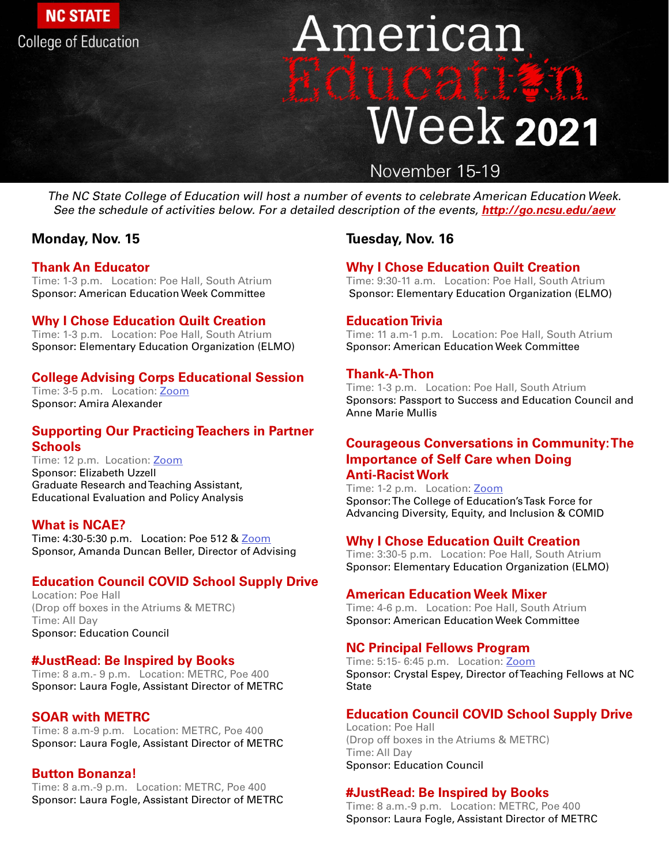# **College of Education**

**NC STATE** 

# American Hitti 11 transf Week 2021 November 15-19

### **Monday, Nov. 15**

### **Thank An Educator**

Time: 1-3 p.m. Location: Poe Hall, South Atrium Sponsor: American Education Week Committee

# **Why I Chose Education Quilt Creation**

Time: 1-3 p.m. Location: Poe Hall, South Atrium Sponsor: Elementary Education Organization (ELMO)

# **College Advising Corps Educational Session**

Time: 3-5 p.m. Location: [Zoom](https://go.ncsu.edu/ncstatecac-infosession
) Sponsor: Amira Alexander

# **Supporting Our Practicing Teachers in Partner Schools**

Time: 12 p.m. Location: [Zoom](https://ncsu.zoom.us/j/92763708361?pwd=aHlGWW5YNTIwTWlhZmZNQlhDNlJYUT)

Sponsor: Elizabeth Uzzell Graduate Research and Teaching Assistant, Educational Evaluation and Policy Analysis

# **What is NCAE?**

Time: 4:30-5:30 p.m. Location: Poe 512 & [Zoom](https://ncsu.zoom.us/j/96308927835?pwd=aTlvNzRpQUhORjMrRTJsdjloVm5aUT09) Sponsor, Amanda Duncan Beller, Director of Advising

# **Education Council COVID School Supply Drive**

Location: Poe Hall (Drop off boxes in the Atriums & METRC) Time: All Day Sponsor: Education Council

# **#JustRead: Be Inspired by Books**

Time: 8 a.m.- 9 p.m. Location: METRC, Poe 400 Sponsor: Laura Fogle, Assistant Director of METRC

### **SOAR with METRC**

Time: 8 a.m-9 p.m. Location: METRC, Poe 400 Sponsor: Laura Fogle, Assistant Director of METRC

Time: 5:15- 6:45 p.m. Location: [Zoom](https://ncsu.zoom.us/j/92323058304?pwd=SUFCTWdUUFByOE1UdmxuRS9xUDZrQT09) Sponsor: Crystal Espey, Director of Teaching Fellows at NC **State** 

### **Button Bonanza!**

Time: 8 a.m.-9 p.m. Location: METRC, Poe 400 Sponsor: Laura Fogle, Assistant Director of METRC

### **Tuesday, Nov. 16**

# **Why I Chose Education Quilt Creation**

Time: 9:30-11 a.m. Location: Poe Hall, South Atrium Sponsor: Elementary Education Organization (ELMO)

# **Education Trivia**

Time: 11 a.m-1 p.m. Location: Poe Hall, South Atrium Sponsor: American Education Week Committee

# **Thank-A-Thon**

Time: 1-3 p.m. Location: Poe Hall, South Atrium Sponsors: Passport to Success and Education Council and Anne Marie Mullis

# **Courageous Conversations in Community: The Importance of Self Care when Doing Anti-Racist Work**

Time: 1-2 p.m. Location: [Zoom](https://ncsu.zoom.us/meeting/register/tJArduugrzMsGNLzcjGashqrlav2rGIc_u4z) Sponsor: The College of Education's Task Force for Advancing Diversity, Equity, and Inclusion & COMID

# **Why I Chose Education Quilt Creation**

Time: 3:30-5 p.m. Location: Poe Hall, South Atrium Sponsor: Elementary Education Organization (ELMO)

# **American Education Week Mixer**

Time: 4-6 p.m. Location: Poe Hall, South Atrium Sponsor: American Education Week Committee

# **NC Principal Fellows Program**

**Education Council COVID School Supply Drive** Location: Poe Hall (Drop off boxes in the Atriums & METRC) Time: All Day Sponsor: Education Council

### **#JustRead: Be Inspired by Books**

Time: 8 a.m.-9 p.m. Location: METRC, Poe 400 Sponsor: Laura Fogle, Assistant Director of METRC

The NC State College of Education will host a number of events to celebrate American Education Week. See the schedule of activities below. For a detailed description of the events, **[http://go.ncsu.edu/aew](http://go.ncsu.edu/aew )**